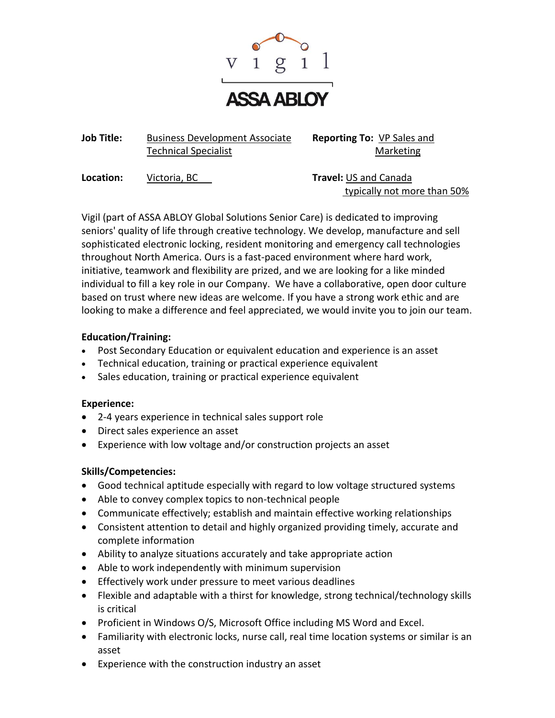

**Job Title:** Business Development Associate **Reporting To:** VP Sales and Technical Specialist Marketing

**Location:** Victoria, BC **Travel:** US and Canada

typically not more than 50%

Vigil (part of ASSA ABLOY Global Solutions Senior Care) is dedicated to improving seniors' quality of life through creative technology. We develop, manufacture and sell sophisticated electronic locking, resident monitoring and emergency call technologies throughout North America. Ours is a fast-paced environment where hard work, initiative, teamwork and flexibility are prized, and we are looking for a like minded individual to fill a key role in our Company. We have a collaborative, open door culture based on trust where new ideas are welcome. If you have a strong work ethic and are looking to make a difference and feel appreciated, we would invite you to join our team.

# **Education/Training:**

- Post Secondary Education or equivalent education and experience is an asset
- Technical education, training or practical experience equivalent
- Sales education, training or practical experience equivalent

# **Experience:**

- 2-4 years experience in technical sales support role
- Direct sales experience an asset
- Experience with low voltage and/or construction projects an asset

# **Skills/Competencies:**

- Good technical aptitude especially with regard to low voltage structured systems
- Able to convey complex topics to non-technical people
- Communicate effectively; establish and maintain effective working relationships
- Consistent attention to detail and highly organized providing timely, accurate and complete information
- Ability to analyze situations accurately and take appropriate action
- Able to work independently with minimum supervision
- Effectively work under pressure to meet various deadlines
- Flexible and adaptable with a thirst for knowledge, strong technical/technology skills is critical
- Proficient in Windows O/S, Microsoft Office including MS Word and Excel.
- Familiarity with electronic locks, nurse call, real time location systems or similar is an asset
- Experience with the construction industry an asset